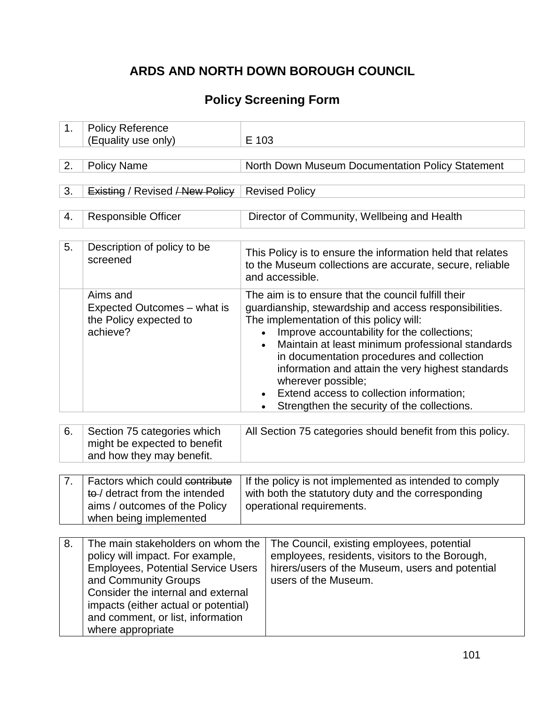# **ARDS AND NORTH DOWN BOROUGH COUNCIL**

## **Policy Screening Form**

| 1. | <b>Policy Reference</b><br>(Equality use only)                                                                                                                                                                                                                                     | E 103                                                                                                                                                                                                                                                                                                                                                                                                                                                                           |                                                                                                                                                                         |
|----|------------------------------------------------------------------------------------------------------------------------------------------------------------------------------------------------------------------------------------------------------------------------------------|---------------------------------------------------------------------------------------------------------------------------------------------------------------------------------------------------------------------------------------------------------------------------------------------------------------------------------------------------------------------------------------------------------------------------------------------------------------------------------|-------------------------------------------------------------------------------------------------------------------------------------------------------------------------|
| 2. | <b>Policy Name</b>                                                                                                                                                                                                                                                                 |                                                                                                                                                                                                                                                                                                                                                                                                                                                                                 | North Down Museum Documentation Policy Statement                                                                                                                        |
| 3. | Existing / Revised / New Policy                                                                                                                                                                                                                                                    |                                                                                                                                                                                                                                                                                                                                                                                                                                                                                 | <b>Revised Policy</b>                                                                                                                                                   |
| 4. | <b>Responsible Officer</b>                                                                                                                                                                                                                                                         |                                                                                                                                                                                                                                                                                                                                                                                                                                                                                 | Director of Community, Wellbeing and Health                                                                                                                             |
| 5. | Description of policy to be<br>screened                                                                                                                                                                                                                                            |                                                                                                                                                                                                                                                                                                                                                                                                                                                                                 | This Policy is to ensure the information held that relates<br>to the Museum collections are accurate, secure, reliable<br>and accessible.                               |
|    | Aims and<br>Expected Outcomes - what is<br>the Policy expected to<br>achieve?                                                                                                                                                                                                      | The aim is to ensure that the council fulfill their<br>guardianship, stewardship and access responsibilities.<br>The implementation of this policy will:<br>Improve accountability for the collections;<br>Maintain at least minimum professional standards<br>in documentation procedures and collection<br>information and attain the very highest standards<br>wherever possible;<br>Extend access to collection information;<br>Strengthen the security of the collections. |                                                                                                                                                                         |
| 6. | Section 75 categories which<br>might be expected to benefit<br>and how they may benefit.                                                                                                                                                                                           | All Section 75 categories should benefit from this policy.                                                                                                                                                                                                                                                                                                                                                                                                                      |                                                                                                                                                                         |
| 7. | Factors which could contribute<br>to-/ detract from the intended<br>aims / outcomes of the Policy<br>when being implemented                                                                                                                                                        | If the policy is not implemented as intended to comply<br>with both the statutory duty and the corresponding<br>operational requirements.                                                                                                                                                                                                                                                                                                                                       |                                                                                                                                                                         |
| 8. | The main stakeholders on whom the<br>policy will impact. For example,<br><b>Employees, Potential Service Users</b><br>and Community Groups<br>Consider the internal and external<br>impacts (either actual or potential)<br>and comment, or list, information<br>where appropriate |                                                                                                                                                                                                                                                                                                                                                                                                                                                                                 | The Council, existing employees, potential<br>employees, residents, visitors to the Borough,<br>hirers/users of the Museum, users and potential<br>users of the Museum. |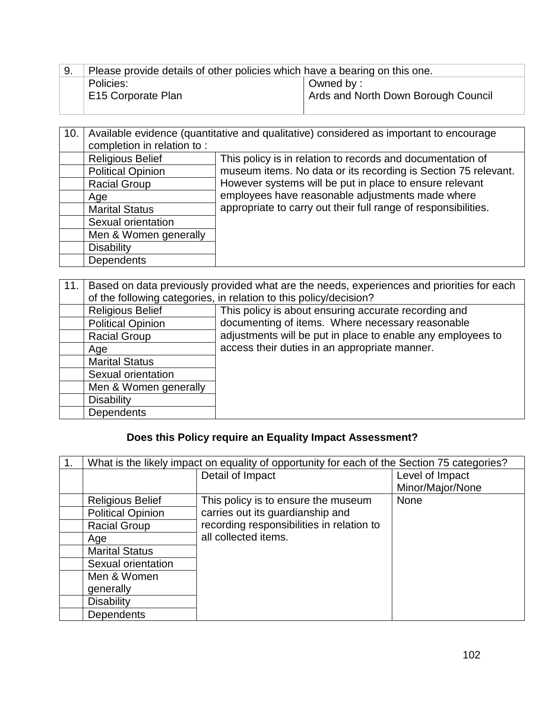| 9. | Please provide details of other policies which have a bearing on this one. |                                                  |
|----|----------------------------------------------------------------------------|--------------------------------------------------|
|    | Policies:<br><b>E15 Corporate Plan</b>                                     | Owned by:<br>Ards and North Down Borough Council |

| 10. | Available evidence (quantitative and qualitative) considered as important to encourage |                                                                                                             |  |
|-----|----------------------------------------------------------------------------------------|-------------------------------------------------------------------------------------------------------------|--|
|     | completion in relation to:                                                             |                                                                                                             |  |
|     | <b>Religious Belief</b>                                                                | This policy is in relation to records and documentation of                                                  |  |
|     | <b>Political Opinion</b>                                                               | museum items. No data or its recording is Section 75 relevant.                                              |  |
|     | <b>Racial Group</b>                                                                    | However systems will be put in place to ensure relevant<br>employees have reasonable adjustments made where |  |
|     | Age                                                                                    |                                                                                                             |  |
|     | <b>Marital Status</b>                                                                  | appropriate to carry out their full range of responsibilities.                                              |  |
|     | Sexual orientation                                                                     |                                                                                                             |  |
|     | Men & Women generally                                                                  |                                                                                                             |  |
|     | <b>Disability</b>                                                                      |                                                                                                             |  |
|     | <b>Dependents</b>                                                                      |                                                                                                             |  |

| 11. | Based on data previously provided what are the needs, experiences and priorities for each |                                                             |  |
|-----|-------------------------------------------------------------------------------------------|-------------------------------------------------------------|--|
|     | of the following categories, in relation to this policy/decision?                         |                                                             |  |
|     | <b>Religious Belief</b>                                                                   | This policy is about ensuring accurate recording and        |  |
|     | <b>Political Opinion</b>                                                                  | documenting of items. Where necessary reasonable            |  |
|     | <b>Racial Group</b>                                                                       | adjustments will be put in place to enable any employees to |  |
|     | Age                                                                                       | access their duties in an appropriate manner.               |  |
|     | <b>Marital Status</b>                                                                     |                                                             |  |
|     | Sexual orientation                                                                        |                                                             |  |
|     | Men & Women generally                                                                     |                                                             |  |
|     | <b>Disability</b>                                                                         |                                                             |  |
|     | <b>Dependents</b>                                                                         |                                                             |  |

### **Does this Policy require an Equality Impact Assessment?**

| What is the likely impact on equality of opportunity for each of the Section 75 categories? |                                           |                  |
|---------------------------------------------------------------------------------------------|-------------------------------------------|------------------|
|                                                                                             | Detail of Impact                          | Level of Impact  |
|                                                                                             |                                           | Minor/Major/None |
| <b>Religious Belief</b>                                                                     | This policy is to ensure the museum       | <b>None</b>      |
| <b>Political Opinion</b>                                                                    | carries out its guardianship and          |                  |
| <b>Racial Group</b>                                                                         | recording responsibilities in relation to |                  |
| Age                                                                                         | all collected items.                      |                  |
| <b>Marital Status</b>                                                                       |                                           |                  |
| Sexual orientation                                                                          |                                           |                  |
| Men & Women                                                                                 |                                           |                  |
| generally                                                                                   |                                           |                  |
| <b>Disability</b>                                                                           |                                           |                  |
| <b>Dependents</b>                                                                           |                                           |                  |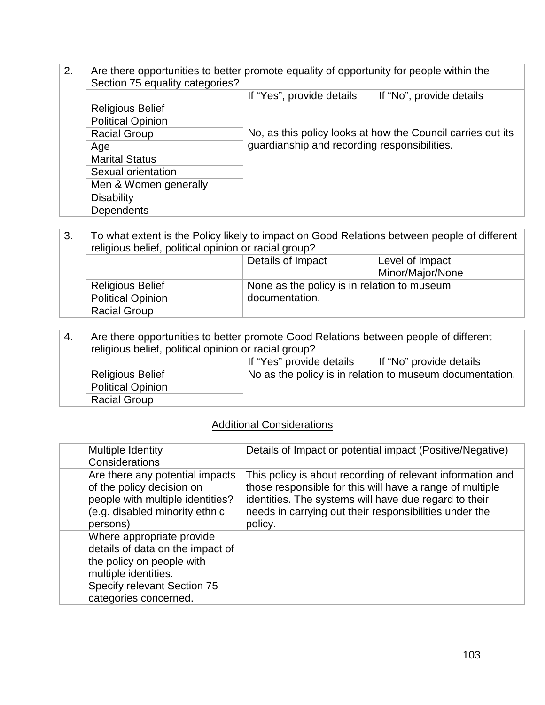2. Are there opportunities to better promote equality of opportunity for people within the Section 75 equality categories? If "Yes", provide details | If "No", provide details Religious Belief No, as this policy looks at how the Council carries out its guardianship and recording responsibilities. Political Opinion Racial Group Age Marital Status Sexual orientation Men & Women generally **Disability Dependents** 

3. To what extent is the Policy likely to impact on Good Relations between people of different religious belief, political opinion or racial group? Details of Impact Level of Impact Minor/Major/None Religious Belief None as the policy is in relation to museum Political Opinion documentation. Racial Group

| 4. | Are there opportunities to better promote Good Relations between people of different<br>religious belief, political opinion or racial group? |  |                                                          |
|----|----------------------------------------------------------------------------------------------------------------------------------------------|--|----------------------------------------------------------|
|    | If "Yes" provide details<br>If "No" provide details                                                                                          |  |                                                          |
|    | <b>Religious Belief</b>                                                                                                                      |  | No as the policy is in relation to museum documentation. |
|    | <b>Political Opinion</b>                                                                                                                     |  |                                                          |
|    | <b>Racial Group</b>                                                                                                                          |  |                                                          |

#### Additional Considerations

| Multiple Identity<br>Considerations                                                                                                                                        | Details of Impact or potential impact (Positive/Negative)                                                                                                                                                                                            |
|----------------------------------------------------------------------------------------------------------------------------------------------------------------------------|------------------------------------------------------------------------------------------------------------------------------------------------------------------------------------------------------------------------------------------------------|
| Are there any potential impacts<br>of the policy decision on<br>people with multiple identities?<br>(e.g. disabled minority ethnic<br>persons)                             | This policy is about recording of relevant information and<br>those responsible for this will have a range of multiple<br>identities. The systems will have due regard to their<br>needs in carrying out their responsibilities under the<br>policy. |
| Where appropriate provide<br>details of data on the impact of<br>the policy on people with<br>multiple identities.<br>Specify relevant Section 75<br>categories concerned. |                                                                                                                                                                                                                                                      |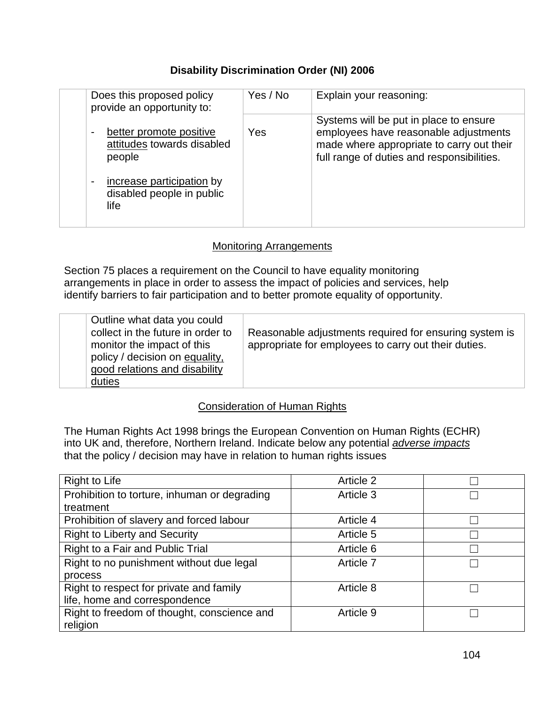#### **Disability Discrimination Order (NI) 2006**

| Does this proposed policy<br>provide an opportunity to:                           | Yes / No | Explain your reasoning:                                                                                                                                                    |
|-----------------------------------------------------------------------------------|----------|----------------------------------------------------------------------------------------------------------------------------------------------------------------------------|
| better promote positive<br>$\blacksquare$<br>attitudes towards disabled<br>people | Yes      | Systems will be put in place to ensure<br>employees have reasonable adjustments<br>made where appropriate to carry out their<br>full range of duties and responsibilities. |
| increase participation by<br>$\blacksquare$<br>disabled people in public<br>life  |          |                                                                                                                                                                            |

#### Monitoring Arrangements

Section 75 places a requirement on the Council to have equality monitoring arrangements in place in order to assess the impact of policies and services, help identify barriers to fair participation and to better promote equality of opportunity.

| Outline what data you could<br>collect in the future in order to<br>monitor the impact of this<br>policy / decision on equality,<br>good relations and disability<br>duties | Reasonable adjustments required for ensuring system is<br>appropriate for employees to carry out their duties. |
|-----------------------------------------------------------------------------------------------------------------------------------------------------------------------------|----------------------------------------------------------------------------------------------------------------|
|-----------------------------------------------------------------------------------------------------------------------------------------------------------------------------|----------------------------------------------------------------------------------------------------------------|

#### Consideration of Human Rights

The Human Rights Act 1998 brings the European Convention on Human Rights (ECHR) into UK and, therefore, Northern Ireland. Indicate below any potential *adverse impacts* that the policy / decision may have in relation to human rights issues

| <b>Right to Life</b>                         | Article 2 |  |
|----------------------------------------------|-----------|--|
| Prohibition to torture, inhuman or degrading | Article 3 |  |
| treatment                                    |           |  |
| Prohibition of slavery and forced labour     | Article 4 |  |
| <b>Right to Liberty and Security</b>         | Article 5 |  |
| Right to a Fair and Public Trial             | Article 6 |  |
| Right to no punishment without due legal     | Article 7 |  |
| process                                      |           |  |
| Right to respect for private and family      | Article 8 |  |
| life, home and correspondence                |           |  |
| Right to freedom of thought, conscience and  | Article 9 |  |
| religion                                     |           |  |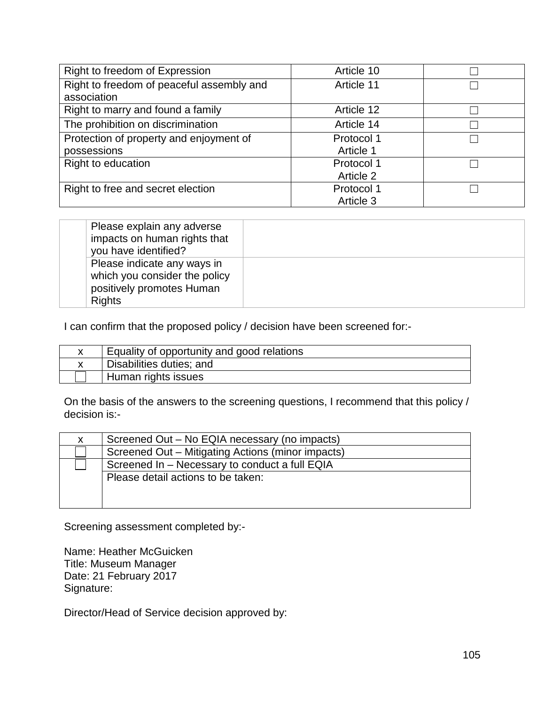| Right to freedom of Expression            | Article 10 |  |
|-------------------------------------------|------------|--|
| Right to freedom of peaceful assembly and | Article 11 |  |
| association                               |            |  |
| Right to marry and found a family         | Article 12 |  |
| The prohibition on discrimination         | Article 14 |  |
| Protection of property and enjoyment of   | Protocol 1 |  |
| possessions                               | Article 1  |  |
| Right to education                        | Protocol 1 |  |
|                                           | Article 2  |  |
| Right to free and secret election         | Protocol 1 |  |
|                                           | Article 3  |  |

| Please explain any adverse<br>impacts on human rights that<br>you have identified?                         |  |
|------------------------------------------------------------------------------------------------------------|--|
| Please indicate any ways in<br>which you consider the policy<br>positively promotes Human<br><b>Rights</b> |  |

I can confirm that the proposed policy / decision have been screened for:-

| Equality of opportunity and good relations |
|--------------------------------------------|
| Disabilities duties; and                   |
| Human rights issues                        |

On the basis of the answers to the screening questions, I recommend that this policy / decision is:-

| X. | Screened Out – No EQIA necessary (no impacts)     |  |
|----|---------------------------------------------------|--|
|    | Screened Out – Mitigating Actions (minor impacts) |  |
|    | Screened In - Necessary to conduct a full EQIA    |  |
|    | Please detail actions to be taken:                |  |
|    |                                                   |  |
|    |                                                   |  |

Screening assessment completed by:-

Name: Heather McGuicken Title: Museum Manager Date: 21 February 2017 Signature:

Director/Head of Service decision approved by: